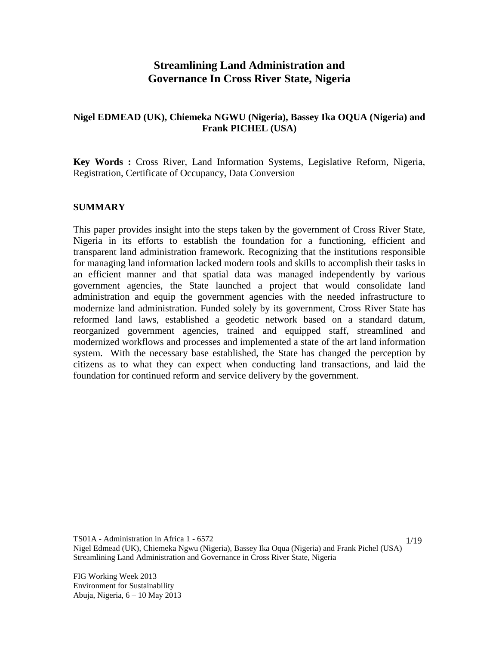# **Streamlining Land Administration and Governance In Cross River State, Nigeria**

## **Nigel EDMEAD (UK), Chiemeka NGWU (Nigeria), Bassey Ika OQUA (Nigeria) and Frank PICHEL (USA)**

**Key Words :** Cross River, Land Information Systems, Legislative Reform, Nigeria, Registration, Certificate of Occupancy, Data Conversion

#### **SUMMARY**

This paper provides insight into the steps taken by the government of Cross River State, Nigeria in its efforts to establish the foundation for a functioning, efficient and transparent land administration framework. Recognizing that the institutions responsible for managing land information lacked modern tools and skills to accomplish their tasks in an efficient manner and that spatial data was managed independently by various government agencies, the State launched a project that would consolidate land administration and equip the government agencies with the needed infrastructure to modernize land administration. Funded solely by its government, Cross River State has reformed land laws, established a geodetic network based on a standard datum, reorganized government agencies, trained and equipped staff, streamlined and modernized workflows and processes and implemented a state of the art land information system. With the necessary base established, the State has changed the perception by citizens as to what they can expect when conducting land transactions, and laid the foundation for continued reform and service delivery by the government.

TS01A - Administration in Africa 1 - 6572 Nigel Edmead (UK), Chiemeka Ngwu (Nigeria), Bassey Ika Oqua (Nigeria) and Frank Pichel (USA) Streamlining Land Administration and Governance in Cross River State, Nigeria 1/19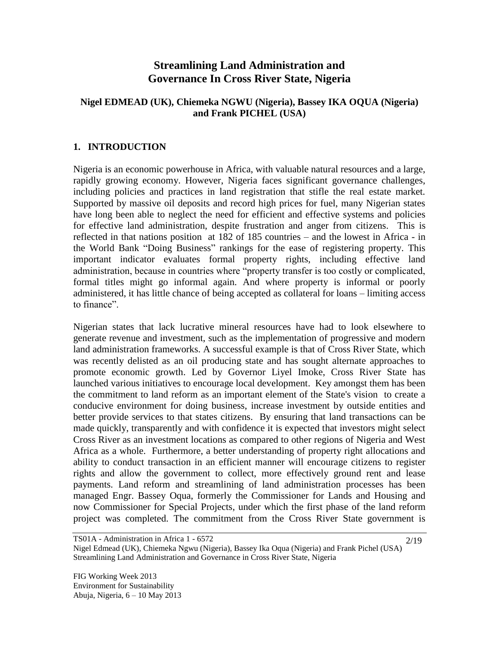# **Streamlining Land Administration and Governance In Cross River State, Nigeria**

#### **Nigel EDMEAD (UK), Chiemeka NGWU (Nigeria), Bassey IKA OQUA (Nigeria) and Frank PICHEL (USA)**

#### **1. INTRODUCTION**

Nigeria is an economic powerhouse in Africa, with valuable natural resources and a large, rapidly growing economy. However, Nigeria faces significant governance challenges, including policies and practices in land registration that stifle the real estate market. Supported by massive oil deposits and record high prices for fuel, many Nigerian states have long been able to neglect the need for efficient and effective systems and policies for effective land administration, despite frustration and anger from citizens. This is reflected in that nations position at 182 of 185 countries – and the lowest in Africa - in the World Bank "Doing Business" rankings for the ease of registering property. This important indicator evaluates formal property rights, including effective land administration, because in countries where "property transfer is too costly or complicated, formal titles might go informal again. And where property is informal or poorly administered, it has little chance of being accepted as collateral for loans – limiting access to finance".

Nigerian states that lack lucrative mineral resources have had to look elsewhere to generate revenue and investment, such as the implementation of progressive and modern land administration frameworks. A successful example is that of Cross River State, which was recently delisted as an oil producing state and has sought alternate approaches to promote economic growth. Led by Governor Liyel Imoke, Cross River State has launched various initiatives to encourage local development. Key amongst them has been the commitment to land reform as an important element of the State's vision to create a conducive environment for doing business, increase investment by outside entities and better provide services to that states citizens. By ensuring that land transactions can be made quickly, transparently and with confidence it is expected that investors might select Cross River as an investment locations as compared to other regions of Nigeria and West Africa as a whole. Furthermore, a better understanding of property right allocations and ability to conduct transaction in an efficient manner will encourage citizens to register rights and allow the government to collect, more effectively ground rent and lease payments. Land reform and streamlining of land administration processes has been managed Engr. Bassey Oqua, formerly the Commissioner for Lands and Housing and now Commissioner for Special Projects, under which the first phase of the land reform project was completed. The commitment from the Cross River State government is

Nigel Edmead (UK), Chiemeka Ngwu (Nigeria), Bassey Ika Oqua (Nigeria) and Frank Pichel (USA) Streamlining Land Administration and Governance in Cross River State, Nigeria 2/19

TS01A - Administration in Africa 1 - 6572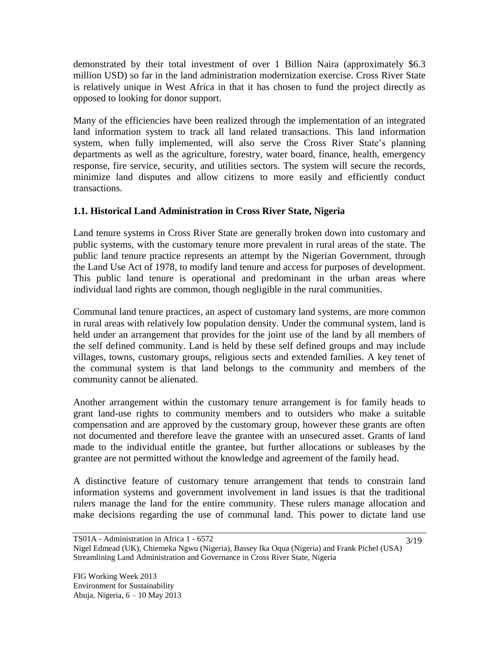demonstrated by their total investment of over 1 Billion Naira (approximately \$6.3 million USD) so far in the land administration modernization exercise. Cross River State is relatively unique in West Africa in that it has chosen to fund the project directly as opposed to looking for donor support.

Many of the efficiencies have been realized through the implementation of an integrated land information system to track all land related transactions. This land information system, when fully implemented, will also serve the Cross River State's planning departments as well as the agriculture, forestry, water board, finance, health, emergency response, fire service, security, and utilities sectors. The system will secure the records, minimize land disputes and allow citizens to more easily and efficiently conduct transactions.

# **1.1. Historical Land Administration in Cross River State, Nigeria**

Land tenure systems in Cross River State are generally broken down into customary and public systems, with the customary tenure more prevalent in rural areas of the state. The public land tenure practice represents an attempt by the Nigerian Government, through the Land Use Act of 1978, to modify land tenure and access for purposes of development. This public land tenure is operational and predominant in the urban areas where individual land rights are common, though negligible in the rural communities.

Communal land tenure practices, an aspect of customary land systems, are more common in rural areas with relatively low population density. Under the communal system, land is held under an arrangement that provides for the joint use of the land by all members of the self defined community. Land is held by these self defined groups and may include villages, towns, customary groups, religious sects and extended families. A key tenet of the communal system is that land belongs to the community and members of the community cannot be alienated.

Another arrangement within the customary tenure arrangement is for family heads to grant land-use rights to community members and to outsiders who make a suitable compensation and are approved by the customary group, however these grants are often not documented and therefore leave the grantee with an unsecured asset. Grants of land made to the individual entitle the grantee, but further allocations or subleases by the grantee are not permitted without the knowledge and agreement of the family head.

A distinctive feature of customary tenure arrangement that tends to constrain land information systems and government involvement in land issues is that the traditional rulers manage the land for the entire community. These rulers manage allocation and make decisions regarding the use of communal land. This power to dictate land use

TS01A - Administration in Africa 1 - 6572

Nigel Edmead (UK), Chiemeka Ngwu (Nigeria), Bassey Ika Oqua (Nigeria) and Frank Pichel (USA) Streamlining Land Administration and Governance in Cross River State, Nigeria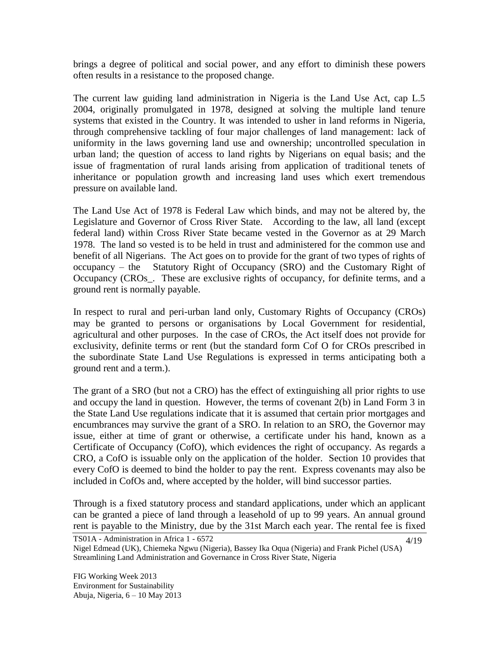brings a degree of political and social power, and any effort to diminish these powers often results in a resistance to the proposed change.

The current law guiding land administration in Nigeria is the Land Use Act, cap L.5 2004, originally promulgated in 1978, designed at solving the multiple land tenure systems that existed in the Country. It was intended to usher in land reforms in Nigeria, through comprehensive tackling of four major challenges of land management: lack of uniformity in the laws governing land use and ownership; uncontrolled speculation in urban land; the question of access to land rights by Nigerians on equal basis; and the issue of fragmentation of rural lands arising from application of traditional tenets of inheritance or population growth and increasing land uses which exert tremendous pressure on available land.

The Land Use Act of 1978 is Federal Law which binds, and may not be altered by, the Legislature and Governor of Cross River State. According to the law, all land (except federal land) within Cross River State became vested in the Governor as at 29 March 1978. The land so vested is to be held in trust and administered for the common use and benefit of all Nigerians. The Act goes on to provide for the grant of two types of rights of occupancy – the Statutory Right of Occupancy (SRO) and the Customary Right of Occupancy (CROs\_. These are exclusive rights of occupancy, for definite terms, and a ground rent is normally payable.

In respect to rural and peri-urban land only, Customary Rights of Occupancy (CROs) may be granted to persons or organisations by Local Government for residential, agricultural and other purposes. In the case of CROs, the Act itself does not provide for exclusivity, definite terms or rent (but the standard form Cof O for CROs prescribed in the subordinate State Land Use Regulations is expressed in terms anticipating both a ground rent and a term.).

The grant of a SRO (but not a CRO) has the effect of extinguishing all prior rights to use and occupy the land in question. However, the terms of covenant  $2(b)$  in Land Form  $3$  in the State Land Use regulations indicate that it is assumed that certain prior mortgages and encumbrances may survive the grant of a SRO. In relation to an SRO, the Governor may issue, either at time of grant or otherwise, a certificate under his hand, known as a Certificate of Occupancy (CofO), which evidences the right of occupancy. As regards a CRO, a CofO is issuable only on the application of the holder. Section 10 provides that every CofO is deemed to bind the holder to pay the rent. Express covenants may also be included in CofOs and, where accepted by the holder, will bind successor parties.

Through is a fixed statutory process and standard applications, under which an applicant can be granted a piece of land through a leasehold of up to 99 years. An annual ground rent is payable to the Ministry, due by the 31st March each year. The rental fee is fixed

4/19

Nigel Edmead (UK), Chiemeka Ngwu (Nigeria), Bassey Ika Oqua (Nigeria) and Frank Pichel (USA) Streamlining Land Administration and Governance in Cross River State, Nigeria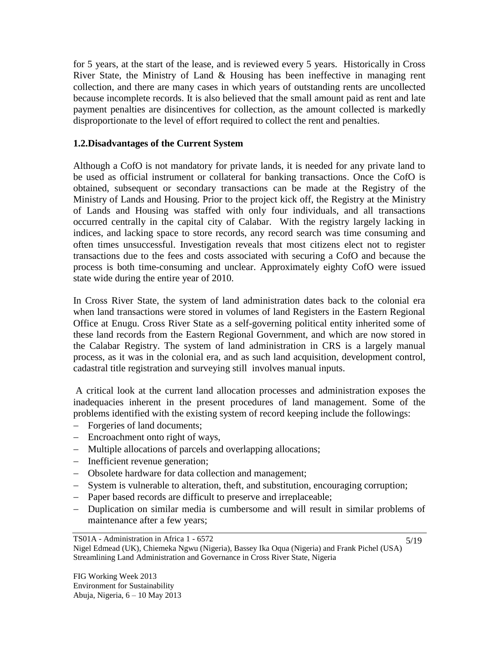for 5 years, at the start of the lease, and is reviewed every 5 years. Historically in Cross River State, the Ministry of Land & Housing has been ineffective in managing rent collection, and there are many cases in which years of outstanding rents are uncollected because incomplete records. It is also believed that the small amount paid as rent and late payment penalties are disincentives for collection, as the amount collected is markedly disproportionate to the level of effort required to collect the rent and penalties.

#### **1.2.Disadvantages of the Current System**

Although a CofO is not mandatory for private lands, it is needed for any private land to be used as official instrument or collateral for banking transactions. Once the CofO is obtained, subsequent or secondary transactions can be made at the Registry of the Ministry of Lands and Housing. Prior to the project kick off, the Registry at the Ministry of Lands and Housing was staffed with only four individuals, and all transactions occurred centrally in the capital city of Calabar. With the registry largely lacking in indices, and lacking space to store records, any record search was time consuming and often times unsuccessful. Investigation reveals that most citizens elect not to register transactions due to the fees and costs associated with securing a CofO and because the process is both time-consuming and unclear. Approximately eighty CofO were issued state wide during the entire year of 2010.

In Cross River State, the system of land administration dates back to the colonial era when land transactions were stored in volumes of land Registers in the Eastern Regional Office at Enugu. Cross River State as a self-governing political entity inherited some of these land records from the Eastern Regional Government, and which are now stored in the Calabar Registry. The system of land administration in CRS is a largely manual process, as it was in the colonial era, and as such land acquisition, development control, cadastral title registration and surveying still involves manual inputs.

A critical look at the current land allocation processes and administration exposes the inadequacies inherent in the present procedures of land management. Some of the problems identified with the existing system of record keeping include the followings:

- Forgeries of land documents;
- Encroachment onto right of ways,
- Multiple allocations of parcels and overlapping allocations;
- Inefficient revenue generation;
- Obsolete hardware for data collection and management;
- System is vulnerable to alteration, theft, and substitution, encouraging corruption;
- Paper based records are difficult to preserve and irreplaceable;

Streamlining Land Administration and Governance in Cross River State, Nigeria

- Duplication on similar media is cumbersome and will result in similar problems of maintenance after a few years;

TS01A - Administration in Africa 1 - 6572 Nigel Edmead (UK), Chiemeka Ngwu (Nigeria), Bassey Ika Oqua (Nigeria) and Frank Pichel (USA)

FIG Working Week 2013 Environment for Sustainability Abuja, Nigeria, 6 – 10 May 2013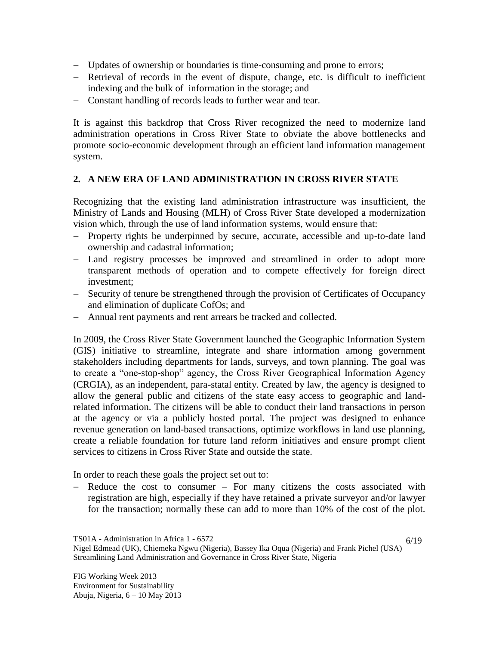- Updates of ownership or boundaries is time-consuming and prone to errors;
- Retrieval of records in the event of dispute, change, etc. is difficult to inefficient indexing and the bulk of information in the storage; and
- Constant handling of records leads to further wear and tear.

It is against this backdrop that Cross River recognized the need to modernize land administration operations in Cross River State to obviate the above bottlenecks and promote socio-economic development through an efficient land information management system.

## **2. A NEW ERA OF LAND ADMINISTRATION IN CROSS RIVER STATE**

Recognizing that the existing land administration infrastructure was insufficient, the Ministry of Lands and Housing (MLH) of Cross River State developed a modernization vision which, through the use of land information systems, would ensure that:

- Property rights be underpinned by secure, accurate, accessible and up-to-date land ownership and cadastral information;
- Land registry processes be improved and streamlined in order to adopt more transparent methods of operation and to compete effectively for foreign direct investment;
- Security of tenure be strengthened through the provision of Certificates of Occupancy and elimination of duplicate CofOs; and
- Annual rent payments and rent arrears be tracked and collected.

In 2009, the Cross River State Government launched the Geographic Information System (GIS) initiative to streamline, integrate and share information among government stakeholders including departments for lands, surveys, and town planning. The goal was to create a "one-stop-shop" agency, the Cross River Geographical Information Agency (CRGIA), as an independent, para-statal entity. Created by law, the agency is designed to allow the general public and citizens of the state easy access to geographic and landrelated information. The citizens will be able to conduct their land transactions in person at the agency or via a publicly hosted portal. The project was designed to enhance revenue generation on land-based transactions, optimize workflows in land use planning, create a reliable foundation for future land reform initiatives and ensure prompt client services to citizens in Cross River State and outside the state.

In order to reach these goals the project set out to:

 Reduce the cost to consumer – For many citizens the costs associated with registration are high, especially if they have retained a private surveyor and/or lawyer for the transaction; normally these can add to more than 10% of the cost of the plot.

TS01A - Administration in Africa 1 - 6572

Nigel Edmead (UK), Chiemeka Ngwu (Nigeria), Bassey Ika Oqua (Nigeria) and Frank Pichel (USA) Streamlining Land Administration and Governance in Cross River State, Nigeria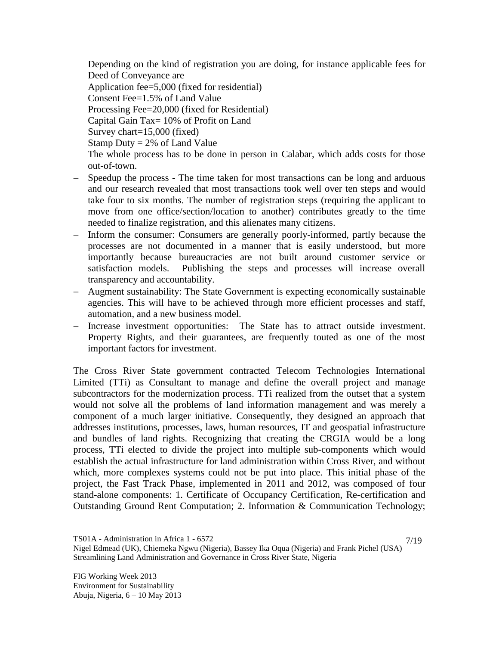Depending on the kind of registration you are doing, for instance applicable fees for Deed of Conveyance are Application fee=5,000 (fixed for residential) Consent Fee=1.5% of Land Value Processing Fee=20,000 (fixed for Residential) Capital Gain Tax= 10% of Profit on Land Survey chart=15,000 (fixed) Stamp Duty  $= 2\%$  of Land Value The whole process has to be done in person in Calabar, which adds costs for those out-of-town.

- Speedup the process The time taken for most transactions can be long and arduous and our research revealed that most transactions took well over ten steps and would take four to six months. The number of registration steps (requiring the applicant to move from one office/section/location to another) contributes greatly to the time needed to finalize registration, and this alienates many citizens.
- Inform the consumer: Consumers are generally poorly-informed, partly because the processes are not documented in a manner that is easily understood, but more importantly because bureaucracies are not built around customer service or satisfaction models. Publishing the steps and processes will increase overall transparency and accountability.
- Augment sustainability: The State Government is expecting economically sustainable agencies. This will have to be achieved through more efficient processes and staff, automation, and a new business model.
- Increase investment opportunities: The State has to attract outside investment. Property Rights, and their guarantees, are frequently touted as one of the most important factors for investment.

The Cross River State government contracted Telecom Technologies International Limited (TTi) as Consultant to manage and define the overall project and manage subcontractors for the modernization process. TTi realized from the outset that a system would not solve all the problems of land information management and was merely a component of a much larger initiative. Consequently, they designed an approach that addresses institutions, processes, laws, human resources, IT and geospatial infrastructure and bundles of land rights. Recognizing that creating the CRGIA would be a long process, TTi elected to divide the project into multiple sub-components which would establish the actual infrastructure for land administration within Cross River, and without which, more complexes systems could not be put into place. This initial phase of the project, the Fast Track Phase, implemented in 2011 and 2012, was composed of four stand-alone components: 1. Certificate of Occupancy Certification, Re-certification and Outstanding Ground Rent Computation; 2. Information & Communication Technology;

TS01A - Administration in Africa 1 - 6572

Nigel Edmead (UK), Chiemeka Ngwu (Nigeria), Bassey Ika Oqua (Nigeria) and Frank Pichel (USA) Streamlining Land Administration and Governance in Cross River State, Nigeria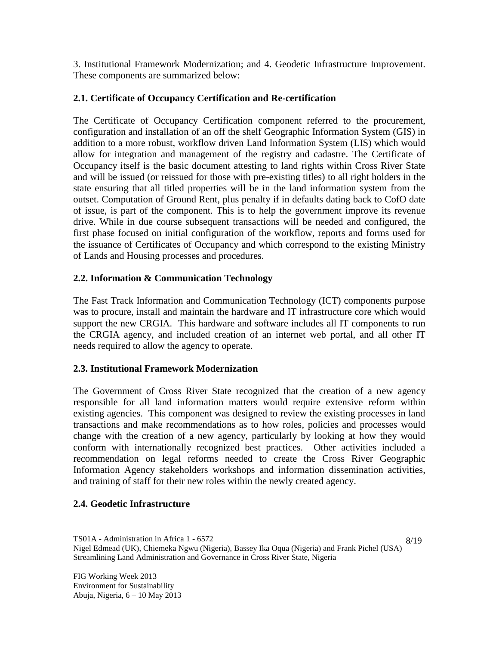3. Institutional Framework Modernization; and 4. Geodetic Infrastructure Improvement. These components are summarized below:

## **2.1. Certificate of Occupancy Certification and Re-certification**

The Certificate of Occupancy Certification component referred to the procurement, configuration and installation of an off the shelf Geographic Information System (GIS) in addition to a more robust, workflow driven Land Information System (LIS) which would allow for integration and management of the registry and cadastre. The Certificate of Occupancy itself is the basic document attesting to land rights within Cross River State and will be issued (or reissued for those with pre-existing titles) to all right holders in the state ensuring that all titled properties will be in the land information system from the outset. Computation of Ground Rent, plus penalty if in defaults dating back to CofO date of issue, is part of the component. This is to help the government improve its revenue drive. While in due course subsequent transactions will be needed and configured, the first phase focused on initial configuration of the workflow, reports and forms used for the issuance of Certificates of Occupancy and which correspond to the existing Ministry of Lands and Housing processes and procedures.

# **2.2. Information & Communication Technology**

The Fast Track Information and Communication Technology (ICT) components purpose was to procure, install and maintain the hardware and IT infrastructure core which would support the new CRGIA. This hardware and software includes all IT components to run the CRGIA agency, and included creation of an internet web portal, and all other IT needs required to allow the agency to operate.

## **2.3. Institutional Framework Modernization**

The Government of Cross River State recognized that the creation of a new agency responsible for all land information matters would require extensive reform within existing agencies. This component was designed to review the existing processes in land transactions and make recommendations as to how roles, policies and processes would change with the creation of a new agency, particularly by looking at how they would conform with internationally recognized best practices. Other activities included a recommendation on legal reforms needed to create the Cross River Geographic Information Agency stakeholders workshops and information dissemination activities, and training of staff for their new roles within the newly created agency.

## **2.4. Geodetic Infrastructure**

TS01A - Administration in Africa 1 - 6572

8/19

Nigel Edmead (UK), Chiemeka Ngwu (Nigeria), Bassey Ika Oqua (Nigeria) and Frank Pichel (USA) Streamlining Land Administration and Governance in Cross River State, Nigeria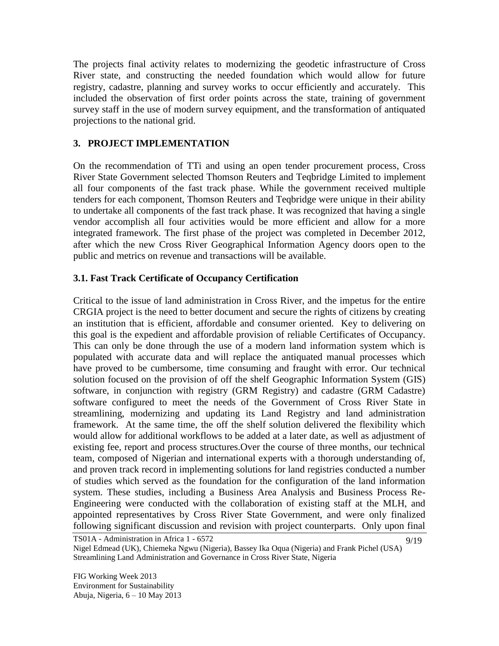The projects final activity relates to modernizing the geodetic infrastructure of Cross River state, and constructing the needed foundation which would allow for future registry, cadastre, planning and survey works to occur efficiently and accurately. This included the observation of first order points across the state, training of government survey staff in the use of modern survey equipment, and the transformation of antiquated projections to the national grid.

## **3. PROJECT IMPLEMENTATION**

On the recommendation of TTi and using an open tender procurement process, Cross River State Government selected Thomson Reuters and Teqbridge Limited to implement all four components of the fast track phase. While the government received multiple tenders for each component, Thomson Reuters and Teqbridge were unique in their ability to undertake all components of the fast track phase. It was recognized that having a single vendor accomplish all four activities would be more efficient and allow for a more integrated framework. The first phase of the project was completed in December 2012, after which the new Cross River Geographical Information Agency doors open to the public and metrics on revenue and transactions will be available.

#### **3.1. Fast Track Certificate of Occupancy Certification**

Critical to the issue of land administration in Cross River, and the impetus for the entire CRGIA project is the need to better document and secure the rights of citizens by creating an institution that is efficient, affordable and consumer oriented. Key to delivering on this goal is the expedient and affordable provision of reliable Certificates of Occupancy. This can only be done through the use of a modern land information system which is populated with accurate data and will replace the antiquated manual processes which have proved to be cumbersome, time consuming and fraught with error. Our technical solution focused on the provision of off the shelf Geographic Information System (GIS) software, in conjunction with registry (GRM Registry) and cadastre (GRM Cadastre) software configured to meet the needs of the Government of Cross River State in streamlining, modernizing and updating its Land Registry and land administration framework. At the same time, the off the shelf solution delivered the flexibility which would allow for additional workflows to be added at a later date, as well as adjustment of existing fee, report and process structures.Over the course of three months, our technical team, composed of Nigerian and international experts with a thorough understanding of, and proven track record in implementing solutions for land registries conducted a number of studies which served as the foundation for the configuration of the land information system. These studies, including a Business Area Analysis and Business Process Re-Engineering were conducted with the collaboration of existing staff at the MLH, and appointed representatives by Cross River State Government, and were only finalized following significant discussion and revision with project counterparts. Only upon final

TS01A - Administration in Africa 1 - 6572

9/19

Nigel Edmead (UK), Chiemeka Ngwu (Nigeria), Bassey Ika Oqua (Nigeria) and Frank Pichel (USA) Streamlining Land Administration and Governance in Cross River State, Nigeria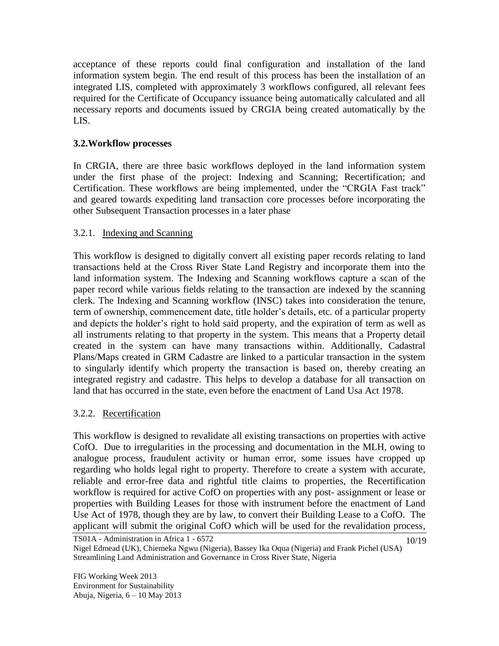acceptance of these reports could final configuration and installation of the land information system begin. The end result of this process has been the installation of an integrated LIS, completed with approximately 3 workflows configured, all relevant fees required for the Certificate of Occupancy issuance being automatically calculated and all necessary reports and documents issued by CRGIA being created automatically by the LIS.

# **3.2.Workflow processes**

In CRGIA, there are three basic workflows deployed in the land information system under the first phase of the project: Indexing and Scanning; Recertification; and Certification. These workflows are being implemented, under the "CRGIA Fast track" and geared towards expediting land transaction core processes before incorporating the other Subsequent Transaction processes in a later phase

## 3.2.1. Indexing and Scanning

This workflow is designed to digitally convert all existing paper records relating to land transactions held at the Cross River State Land Registry and incorporate them into the land information system. The Indexing and Scanning workflows capture a scan of the paper record while various fields relating to the transaction are indexed by the scanning clerk. The Indexing and Scanning workflow (INSC) takes into consideration the tenure, term of ownership, commencement date, title holder's details, etc. of a particular property and depicts the holder's right to hold said property, and the expiration of term as well as all instruments relating to that property in the system. This means that a Property detail created in the system can have many transactions within. Additionally, Cadastral Plans/Maps created in GRM Cadastre are linked to a particular transaction in the system to singularly identify which property the transaction is based on, thereby creating an integrated registry and cadastre. This helps to develop a database for all transaction on land that has occurred in the state, even before the enactment of Land Usa Act 1978.

## 3.2.2. Recertification

This workflow is designed to revalidate all existing transactions on properties with active CofO. Due to irregularities in the processing and documentation in the MLH, owing to analogue process, fraudulent activity or human error, some issues have cropped up regarding who holds legal right to property. Therefore to create a system with accurate, reliable and error-free data and rightful title claims to properties, the Recertification workflow is required for active CofO on properties with any post- assignment or lease or properties with Building Leases for those with instrument before the enactment of Land Use Act of 1978, though they are by law, to convert their Building Lease to a CofO. The applicant will submit the original CofO which will be used for the revalidation process,

TS01A - Administration in Africa 1 - 6572

10/19

Nigel Edmead (UK), Chiemeka Ngwu (Nigeria), Bassey Ika Oqua (Nigeria) and Frank Pichel (USA) Streamlining Land Administration and Governance in Cross River State, Nigeria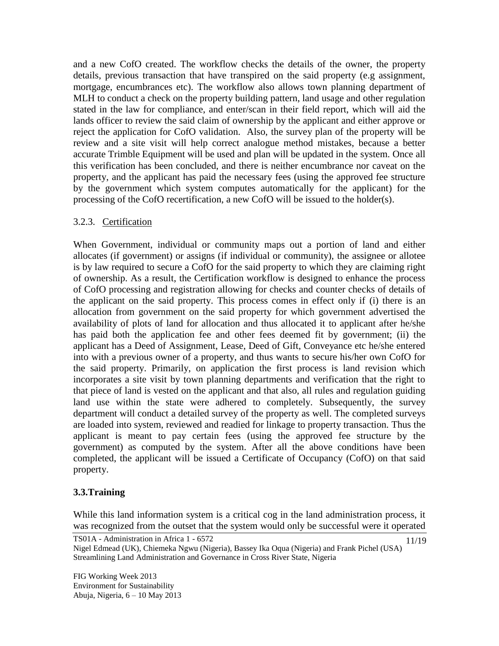and a new CofO created. The workflow checks the details of the owner, the property details, previous transaction that have transpired on the said property (e.g assignment, mortgage, encumbrances etc). The workflow also allows town planning department of MLH to conduct a check on the property building pattern, land usage and other regulation stated in the law for compliance, and enter/scan in their field report, which will aid the lands officer to review the said claim of ownership by the applicant and either approve or reject the application for CofO validation. Also, the survey plan of the property will be review and a site visit will help correct analogue method mistakes, because a better accurate Trimble Equipment will be used and plan will be updated in the system. Once all this verification has been concluded, and there is neither encumbrance nor caveat on the property, and the applicant has paid the necessary fees (using the approved fee structure by the government which system computes automatically for the applicant) for the processing of the CofO recertification, a new CofO will be issued to the holder(s).

#### 3.2.3. Certification

When Government, individual or community maps out a portion of land and either allocates (if government) or assigns (if individual or community), the assignee or allotee is by law required to secure a CofO for the said property to which they are claiming right of ownership. As a result, the Certification workflow is designed to enhance the process of CofO processing and registration allowing for checks and counter checks of details of the applicant on the said property. This process comes in effect only if (i) there is an allocation from government on the said property for which government advertised the availability of plots of land for allocation and thus allocated it to applicant after he/she has paid both the application fee and other fees deemed fit by government; (ii) the applicant has a Deed of Assignment, Lease, Deed of Gift, Conveyance etc he/she entered into with a previous owner of a property, and thus wants to secure his/her own CofO for the said property. Primarily, on application the first process is land revision which incorporates a site visit by town planning departments and verification that the right to that piece of land is vested on the applicant and that also, all rules and regulation guiding land use within the state were adhered to completely. Subsequently, the survey department will conduct a detailed survey of the property as well. The completed surveys are loaded into system, reviewed and readied for linkage to property transaction. Thus the applicant is meant to pay certain fees (using the approved fee structure by the government) as computed by the system. After all the above conditions have been completed, the applicant will be issued a Certificate of Occupancy (CofO) on that said property.

## **3.3.Training**

While this land information system is a critical cog in the land administration process, it was recognized from the outset that the system would only be successful were it operated

TS01A - Administration in Africa 1 - 6572

11/19

Nigel Edmead (UK), Chiemeka Ngwu (Nigeria), Bassey Ika Oqua (Nigeria) and Frank Pichel (USA) Streamlining Land Administration and Governance in Cross River State, Nigeria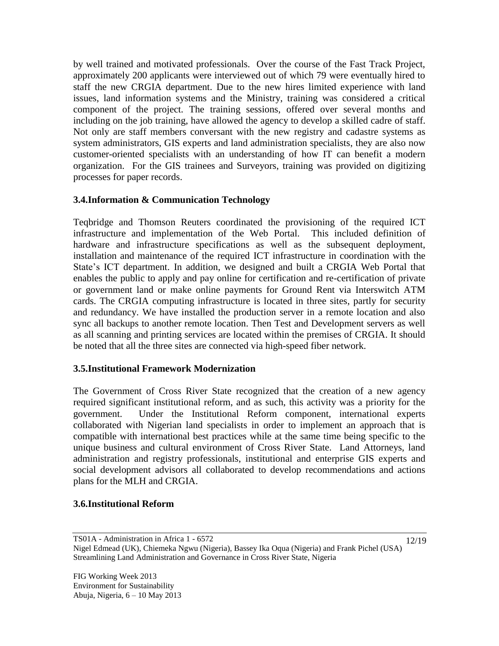by well trained and motivated professionals. Over the course of the Fast Track Project, approximately 200 applicants were interviewed out of which 79 were eventually hired to staff the new CRGIA department. Due to the new hires limited experience with land issues, land information systems and the Ministry, training was considered a critical component of the project. The training sessions, offered over several months and including on the job training, have allowed the agency to develop a skilled cadre of staff. Not only are staff members conversant with the new registry and cadastre systems as system administrators, GIS experts and land administration specialists, they are also now customer-oriented specialists with an understanding of how IT can benefit a modern organization. For the GIS trainees and Surveyors, training was provided on digitizing processes for paper records.

#### **3.4.Information & Communication Technology**

Teqbridge and Thomson Reuters coordinated the provisioning of the required ICT infrastructure and implementation of the Web Portal. This included definition of hardware and infrastructure specifications as well as the subsequent deployment, installation and maintenance of the required ICT infrastructure in coordination with the State's ICT department. In addition, we designed and built a CRGIA Web Portal that enables the public to apply and pay online for certification and re-certification of private or government land or make online payments for Ground Rent via Interswitch ATM cards. The CRGIA computing infrastructure is located in three sites, partly for security and redundancy. We have installed the production server in a remote location and also sync all backups to another remote location. Then Test and Development servers as well as all scanning and printing services are located within the premises of CRGIA. It should be noted that all the three sites are connected via high-speed fiber network.

#### **3.5.Institutional Framework Modernization**

The Government of Cross River State recognized that the creation of a new agency required significant institutional reform, and as such, this activity was a priority for the government. Under the Institutional Reform component, international experts collaborated with Nigerian land specialists in order to implement an approach that is compatible with international best practices while at the same time being specific to the unique business and cultural environment of Cross River State. Land Attorneys, land administration and registry professionals, institutional and enterprise GIS experts and social development advisors all collaborated to develop recommendations and actions plans for the MLH and CRGIA.

#### **3.6.Institutional Reform**

TS01A - Administration in Africa 1 - 6572

12/19

Nigel Edmead (UK), Chiemeka Ngwu (Nigeria), Bassey Ika Oqua (Nigeria) and Frank Pichel (USA) Streamlining Land Administration and Governance in Cross River State, Nigeria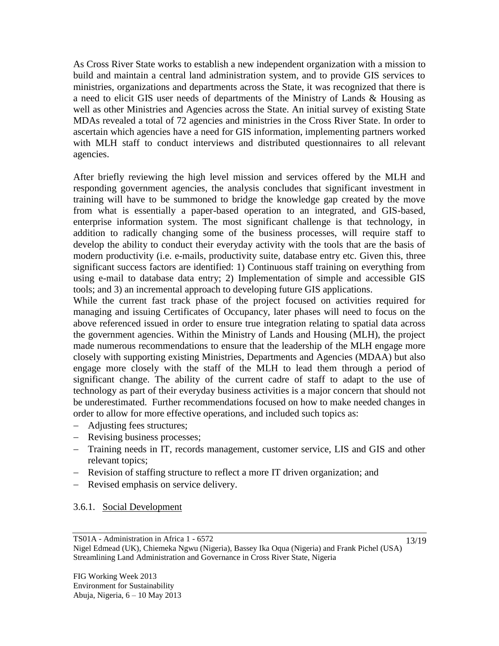As Cross River State works to establish a new independent organization with a mission to build and maintain a central land administration system, and to provide GIS services to ministries, organizations and departments across the State, it was recognized that there is a need to elicit GIS user needs of departments of the Ministry of Lands & Housing as well as other Ministries and Agencies across the State. An initial survey of existing State MDAs revealed a total of 72 agencies and ministries in the Cross River State. In order to ascertain which agencies have a need for GIS information, implementing partners worked with MLH staff to conduct interviews and distributed questionnaires to all relevant agencies.

After briefly reviewing the high level mission and services offered by the MLH and responding government agencies, the analysis concludes that significant investment in training will have to be summoned to bridge the knowledge gap created by the move from what is essentially a paper-based operation to an integrated, and GIS-based, enterprise information system. The most significant challenge is that technology, in addition to radically changing some of the business processes, will require staff to develop the ability to conduct their everyday activity with the tools that are the basis of modern productivity (i.e. e-mails, productivity suite, database entry etc. Given this, three significant success factors are identified: 1) Continuous staff training on everything from using e-mail to database data entry; 2) Implementation of simple and accessible GIS tools; and 3) an incremental approach to developing future GIS applications.

While the current fast track phase of the project focused on activities required for managing and issuing Certificates of Occupancy, later phases will need to focus on the above referenced issued in order to ensure true integration relating to spatial data across the government agencies. Within the Ministry of Lands and Housing (MLH), the project made numerous recommendations to ensure that the leadership of the MLH engage more closely with supporting existing Ministries, Departments and Agencies (MDAA) but also engage more closely with the staff of the MLH to lead them through a period of significant change. The ability of the current cadre of staff to adapt to the use of technology as part of their everyday business activities is a major concern that should not be underestimated. Further recommendations focused on how to make needed changes in order to allow for more effective operations, and included such topics as:

- Adjusting fees structures;
- Revising business processes;
- Training needs in IT, records management, customer service, LIS and GIS and other relevant topics;
- Revision of staffing structure to reflect a more IT driven organization; and
- Revised emphasis on service delivery.

#### 3.6.1. Social Development

TS01A - Administration in Africa 1 - 6572

Nigel Edmead (UK), Chiemeka Ngwu (Nigeria), Bassey Ika Oqua (Nigeria) and Frank Pichel (USA) Streamlining Land Administration and Governance in Cross River State, Nigeria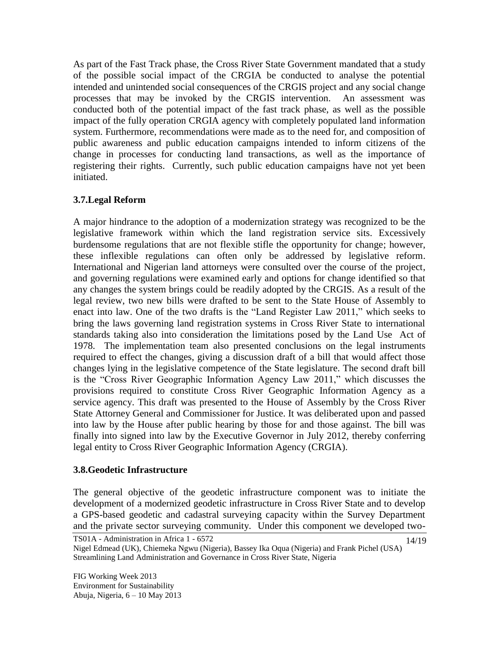As part of the Fast Track phase, the Cross River State Government mandated that a study of the possible social impact of the CRGIA be conducted to analyse the potential intended and unintended social consequences of the CRGIS project and any social change processes that may be invoked by the CRGIS intervention. An assessment was conducted both of the potential impact of the fast track phase, as well as the possible impact of the fully operation CRGIA agency with completely populated land information system. Furthermore, recommendations were made as to the need for, and composition of public awareness and public education campaigns intended to inform citizens of the change in processes for conducting land transactions, as well as the importance of registering their rights. Currently, such public education campaigns have not yet been initiated.

## **3.7.Legal Reform**

A major hindrance to the adoption of a modernization strategy was recognized to be the legislative framework within which the land registration service sits. Excessively burdensome regulations that are not flexible stifle the opportunity for change; however, these inflexible regulations can often only be addressed by legislative reform. International and Nigerian land attorneys were consulted over the course of the project, and governing regulations were examined early and options for change identified so that any changes the system brings could be readily adopted by the CRGIS. As a result of the legal review, two new bills were drafted to be sent to the State House of Assembly to enact into law. One of the two drafts is the "Land Register Law 2011," which seeks to bring the laws governing land registration systems in Cross River State to international standards taking also into consideration the limitations posed by the Land Use Act of 1978. The implementation team also presented conclusions on the legal instruments required to effect the changes, giving a discussion draft of a bill that would affect those changes lying in the legislative competence of the State legislature. The second draft bill is the "Cross River Geographic Information Agency Law 2011," which discusses the provisions required to constitute Cross River Geographic Information Agency as a service agency. This draft was presented to the House of Assembly by the Cross River State Attorney General and Commissioner for Justice. It was deliberated upon and passed into law by the House after public hearing by those for and those against. The bill was finally into signed into law by the Executive Governor in July 2012, thereby conferring legal entity to Cross River Geographic Information Agency (CRGIA).

## **3.8.Geodetic Infrastructure**

The general objective of the geodetic infrastructure component was to initiate the development of a modernized geodetic infrastructure in Cross River State and to develop a GPS-based geodetic and cadastral surveying capacity within the Survey Department and the private sector surveying community. Under this component we developed two-

14/19

Nigel Edmead (UK), Chiemeka Ngwu (Nigeria), Bassey Ika Oqua (Nigeria) and Frank Pichel (USA) Streamlining Land Administration and Governance in Cross River State, Nigeria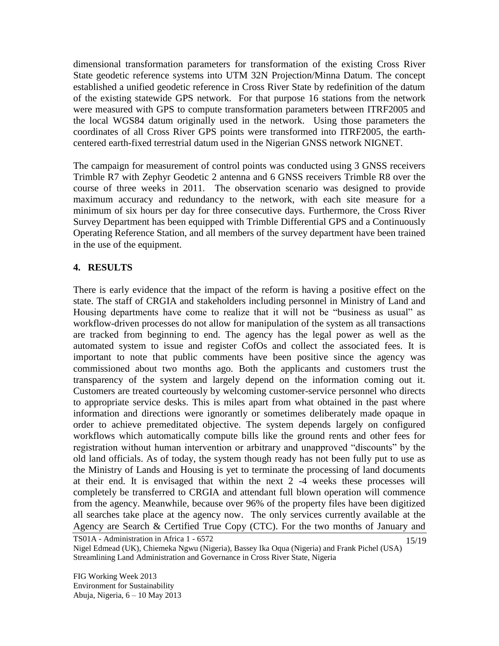dimensional transformation parameters for transformation of the existing Cross River State geodetic reference systems into UTM 32N Projection/Minna Datum. The concept established a unified geodetic reference in Cross River State by redefinition of the datum of the existing statewide GPS network. For that purpose 16 stations from the network were measured with GPS to compute transformation parameters between ITRF2005 and the local WGS84 datum originally used in the network. Using those parameters the coordinates of all Cross River GPS points were transformed into ITRF2005, the earthcentered earth-fixed terrestrial datum used in the Nigerian GNSS network NIGNET.

The campaign for measurement of control points was conducted using 3 GNSS receivers Trimble R7 with Zephyr Geodetic 2 antenna and 6 GNSS receivers Trimble R8 over the course of three weeks in 2011. The observation scenario was designed to provide maximum accuracy and redundancy to the network, with each site measure for a minimum of six hours per day for three consecutive days. Furthermore, the Cross River Survey Department has been equipped with Trimble Differential GPS and a Continuously Operating Reference Station, and all members of the survey department have been trained in the use of the equipment.

## **4. RESULTS**

There is early evidence that the impact of the reform is having a positive effect on the state. The staff of CRGIA and stakeholders including personnel in Ministry of Land and Housing departments have come to realize that it will not be "business as usual" as workflow-driven processes do not allow for manipulation of the system as all transactions are tracked from beginning to end. The agency has the legal power as well as the automated system to issue and register CofOs and collect the associated fees. It is important to note that public comments have been positive since the agency was commissioned about two months ago. Both the applicants and customers trust the transparency of the system and largely depend on the information coming out it. Customers are treated courteously by welcoming customer-service personnel who directs to appropriate service desks. This is miles apart from what obtained in the past where information and directions were ignorantly or sometimes deliberately made opaque in order to achieve premeditated objective. The system depends largely on configured workflows which automatically compute bills like the ground rents and other fees for registration without human intervention or arbitrary and unapproved "discounts" by the old land officials. As of today, the system though ready has not been fully put to use as the Ministry of Lands and Housing is yet to terminate the processing of land documents at their end. It is envisaged that within the next 2 -4 weeks these processes will completely be transferred to CRGIA and attendant full blown operation will commence from the agency. Meanwhile, because over 96% of the property files have been digitized all searches take place at the agency now. The only services currently available at the Agency are Search & Certified True Copy (CTC). For the two months of January and

TS01A - Administration in Africa 1 - 6572

15/19

Nigel Edmead (UK), Chiemeka Ngwu (Nigeria), Bassey Ika Oqua (Nigeria) and Frank Pichel (USA) Streamlining Land Administration and Governance in Cross River State, Nigeria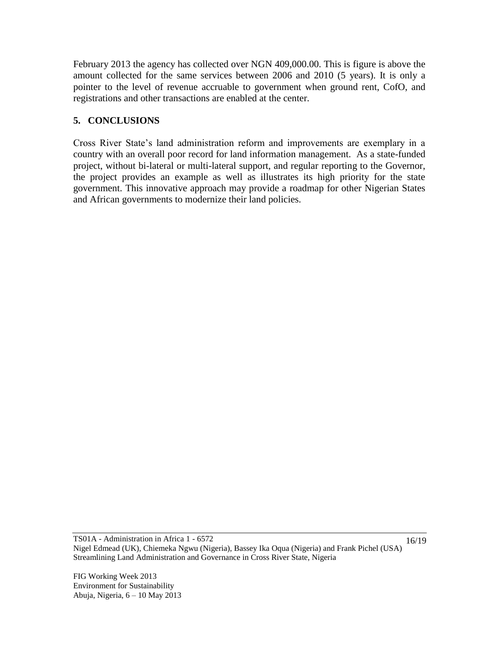February 2013 the agency has collected over NGN 409,000.00. This is figure is above the amount collected for the same services between 2006 and 2010 (5 years). It is only a pointer to the level of revenue accruable to government when ground rent, CofO, and registrations and other transactions are enabled at the center.

# **5. CONCLUSIONS**

Cross River State's land administration reform and improvements are exemplary in a country with an overall poor record for land information management. As a state-funded project, without bi-lateral or multi-lateral support, and regular reporting to the Governor, the project provides an example as well as illustrates its high priority for the state government. This innovative approach may provide a roadmap for other Nigerian States and African governments to modernize their land policies.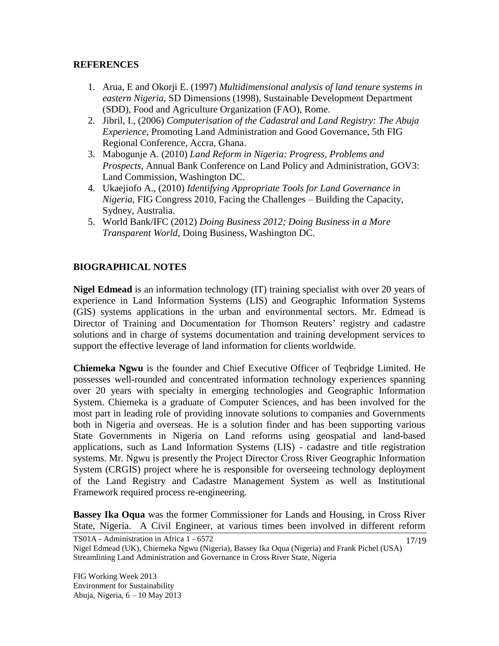#### **REFERENCES**

- 1. Arua, E and Okorji E. (1997) *Multidimensional analysis of land tenure systems in eastern Nigeria*, SD Dimensions (1998), Sustainable Development Department (SDD), Food and Agriculture Organization (FAO), Rome.
- 2. Jibril, I., (2006) *Computerisation of the Cadastral and Land Registry: The Abuja Experience*, Promoting Land Administration and Good Governance, 5th FIG Regional Conference, Accra, Ghana.
- 3. Mabogunje A. (2010) *Land Reform in Nigeria: Progress, Problems and Prospects*, Annual Bank Conference on Land Policy and Administration, GOV3: Land Commission, Washington DC.
- 4. Ukaejiofo A., (2010) *Identifying Appropriate Tools for Land Governance in Nigeria,* FIG Congress 2010, Facing the Challenges – Building the Capacity, Sydney, Australia.
- 5. World Bank/IFC (2012) *Doing Business 2012; Doing Business in a More Transparent World*, Doing Business, Washington DC.

## **BIOGRAPHICAL NOTES**

**Nigel Edmead** is an information technology (IT) training specialist with over 20 years of experience in Land Information Systems (LIS) and Geographic Information Systems (GIS) systems applications in the urban and environmental sectors. Mr. Edmead is Director of Training and Documentation for Thomson Reuters' registry and cadastre solutions and in charge of systems documentation and training development services to support the effective leverage of land information for clients worldwide.

**Chiemeka Ngwu** is the founder and Chief Executive Officer of Teqbridge Limited. He possesses well-rounded and concentrated information technology experiences spanning over 20 years with specialty in emerging technologies and Geographic Information System. Chiemeka is a graduate of Computer Sciences, and has been involved for the most part in leading role of providing innovate solutions to companies and Governments both in Nigeria and overseas. He is a solution finder and has been supporting various State Governments in Nigeria on Land reforms using geospatial and land-based applications, such as Land Information Systems (LIS) - cadastre and title registration systems. Mr. Ngwu is presently the Project Director Cross River Geographic Information System (CRGIS) project where he is responsible for overseeing technology deployment of the Land Registry and Cadastre Management System as well as Institutional Framework required process re-engineering.

**Bassey Ika Oqua** was the former Commissioner for Lands and Housing, in Cross River State, Nigeria. A Civil Engineer, at various times been involved in different reform

TS01A - Administration in Africa 1 - 6572

Nigel Edmead (UK), Chiemeka Ngwu (Nigeria), Bassey Ika Oqua (Nigeria) and Frank Pichel (USA) Streamlining Land Administration and Governance in Cross River State, Nigeria

FIG Working Week 2013 Environment for Sustainability Abuja, Nigeria, 6 – 10 May 2013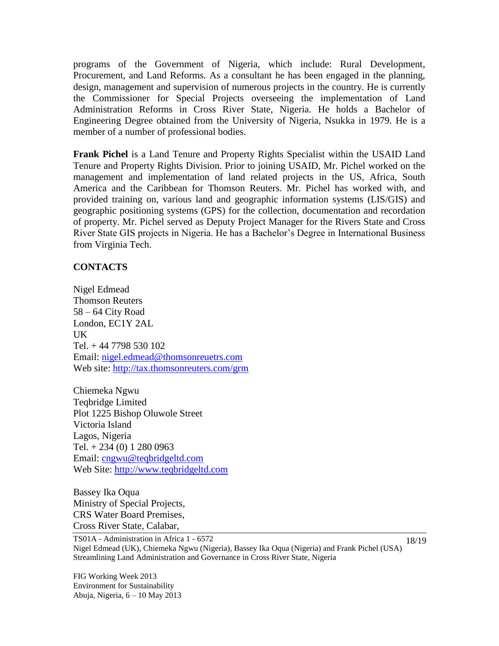programs of the Government of Nigeria, which include: Rural Development, Procurement, and Land Reforms. As a consultant he has been engaged in the planning, design, management and supervision of numerous projects in the country. He is currently the Commissioner for Special Projects overseeing the implementation of Land Administration Reforms in Cross River State, Nigeria. He holds a Bachelor of Engineering Degree obtained from the University of Nigeria, Nsukka in 1979. He is a member of a number of professional bodies.

**Frank Pichel** is a Land Tenure and Property Rights Specialist within the USAID Land Tenure and Property Rights Division. Prior to joining USAID, Mr. Pichel worked on the management and implementation of land related projects in the US, Africa, South America and the Caribbean for Thomson Reuters. Mr. Pichel has worked with, and provided training on, various land and geographic information systems (LIS/GIS) and geographic positioning systems (GPS) for the collection, documentation and recordation of property. Mr. Pichel served as Deputy Project Manager for the Rivers State and Cross River State GIS projects in Nigeria. He has a Bachelor's Degree in International Business from Virginia Tech.

#### **CONTACTS**

Nigel Edmead Thomson Reuters 58 – 64 City Road London, EC1Y 2AL UK Tel. + 44 7798 530 102 Email: [nigel.edmead@thomsonreuetrs.com](mailto:nigel.edmead@thomsonreuetrs.com) Web site:<http://tax.thomsonreuters.com/grm>

Chiemeka Ngwu Teqbridge Limited Plot 1225 Bishop Oluwole Street Victoria Island Lagos, Nigeria Tel.  $+ 234 (0) 1 280 0963$ Email: [cngwu@teqbridgeltd.com](mailto:cngwu@teqbridgeltd.com) Web Site: [http://www.teqbridgeltd.com](http://www.teqbridgeltd.com/)

Bassey Ika Oqua Ministry of Special Projects, CRS Water Board Premises, Cross River State, Calabar,

TS01A - Administration in Africa 1 - 6572

Nigel Edmead (UK), Chiemeka Ngwu (Nigeria), Bassey Ika Oqua (Nigeria) and Frank Pichel (USA) Streamlining Land Administration and Governance in Cross River State, Nigeria

FIG Working Week 2013 Environment for Sustainability Abuja, Nigeria, 6 – 10 May 2013